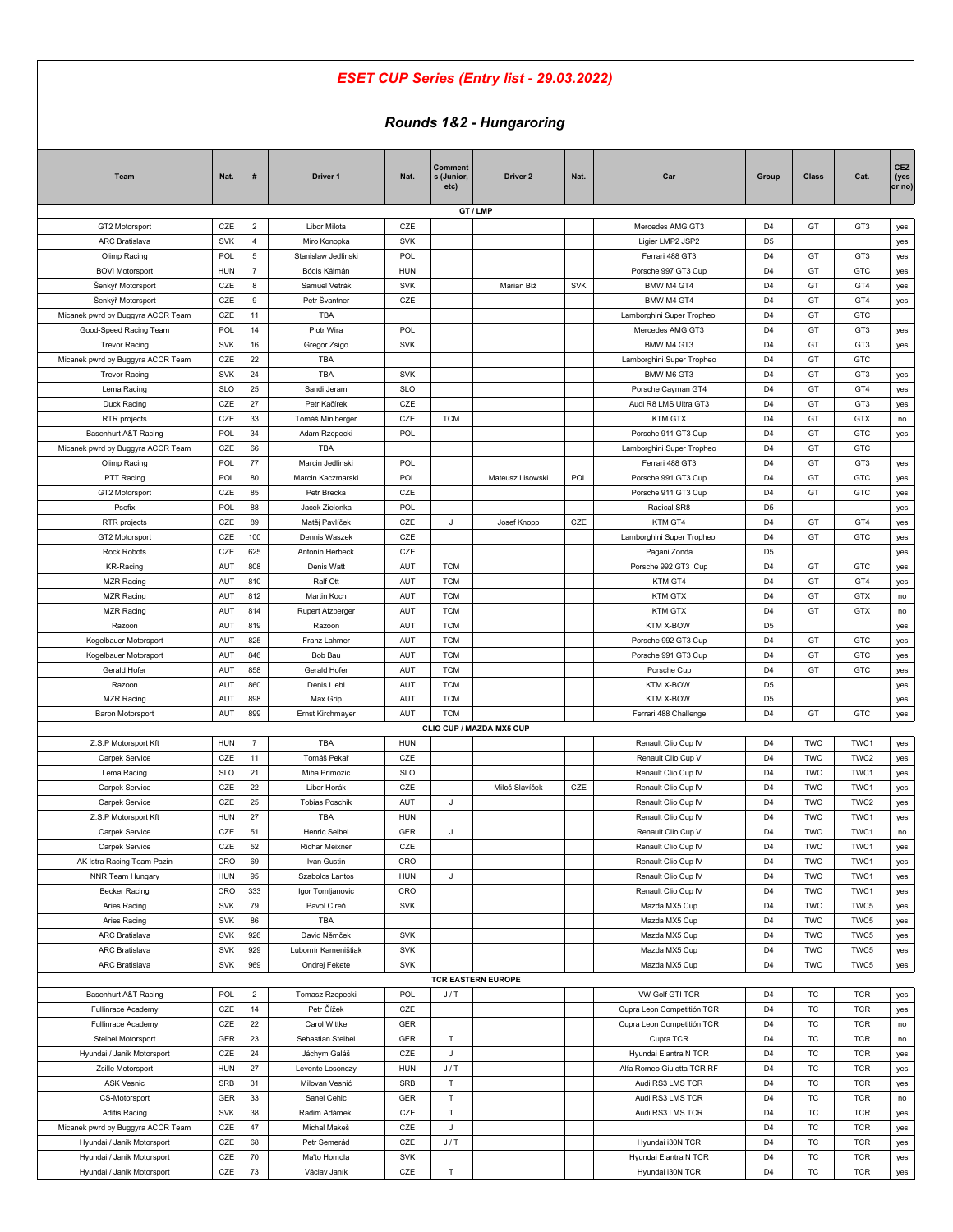## *ESET CUP Series (Entry list - 29.03.2022)*

## *Rounds 1&2 - Hungaroring*

| Team                              | Nat.       | #              | Driver 1                | Nat.       | Comment<br>s (Junior,<br>etc) | Driver 2                  | Nat.       | Car                        | Group                            | <b>Class</b> | Cat.                     | CEZ<br>(yes<br>or no) |
|-----------------------------------|------------|----------------|-------------------------|------------|-------------------------------|---------------------------|------------|----------------------------|----------------------------------|--------------|--------------------------|-----------------------|
|                                   |            |                |                         |            |                               | GT / LMP                  |            |                            |                                  |              |                          |                       |
| GT2 Motorsport                    | CZE        | $\overline{2}$ | Libor Milota            | CZE        |                               |                           |            | Mercedes AMG GT3           | D <sub>4</sub>                   | GT           | GT3                      | yes                   |
| <b>ARC Bratislava</b>             | <b>SVK</b> | $\overline{4}$ | Miro Konopka            | <b>SVK</b> |                               |                           |            | Ligier LMP2 JSP2           | D <sub>5</sub>                   |              |                          | yes                   |
| Olimp Racing                      | POL        | $\overline{5}$ | Stanislaw Jedlinski     | POL        |                               |                           |            | Ferrari 488 GT3            | D <sub>4</sub>                   | GT           | GT3                      | yes                   |
| <b>BOVI Motorsport</b>            | <b>HUN</b> | $\overline{7}$ | Bódis Kálmán            | <b>HUN</b> |                               |                           |            | Porsche 997 GT3 Cup        | D <sub>4</sub>                   | GT           | GTC                      | yes                   |
| Šenkýř Motorsport                 | CZE        | 8              | Samuel Vetrák           | SVK        |                               | Marian Bíž                | <b>SVK</b> | BMW M4 GT4                 | D <sub>4</sub>                   | GT           | GT4                      | yes                   |
| Šenkýř Motorsport                 | CZE        | 9              | Petr Švantner           | CZE        |                               |                           |            | BMW M4 GT4                 | D <sub>4</sub>                   | GT           | GT4                      | yes                   |
| Micanek pwrd by Buggyra ACCR Team | CZE        | 11             | <b>TBA</b>              |            |                               |                           |            | Lamborghini Super Tropheo  | D <sub>4</sub>                   | GT           | GTC                      |                       |
| Good-Speed Racing Team            | <b>POL</b> | 14             | Piotr Wira              | POL        |                               |                           |            | Mercedes AMG GT3           | D <sub>4</sub>                   | GT           | GT3                      | yes                   |
| <b>Trevor Racing</b>              | <b>SVK</b> | 16             | Gregor Zsigo            | <b>SVK</b> |                               |                           |            | BMW M4 GT3                 | D <sub>4</sub>                   | GT           | GT3                      | yes                   |
| Micanek pwrd by Buggyra ACCR Team | CZE        | 22             | TBA                     |            |                               |                           |            | Lamborghini Super Tropheo  | D <sub>4</sub>                   | GT           | GTC                      |                       |
| <b>Trevor Racing</b>              | <b>SVK</b> | 24             | TBA                     | <b>SVK</b> |                               |                           |            | BMW M6 GT3                 | D <sub>4</sub>                   | GT           | GT3                      | yes                   |
| Lema Racing                       | <b>SLO</b> | 25             | Sandi Jeram             | <b>SLO</b> |                               |                           |            | Porsche Cayman GT4         | D <sub>4</sub>                   | GT           | GT4                      | yes                   |
| Duck Racing                       | CZE        | 27             | Petr Kačírek            | CZE        |                               |                           |            | Audi R8 LMS Ultra GT3      | D <sub>4</sub>                   | GT           | GT3                      | yes                   |
| RTR projects                      | CZE        | 33             | Tomáš Miniberger        | CZE        | <b>TCM</b>                    |                           |            | <b>KTM GTX</b>             | D <sub>4</sub>                   | GT           | GTX                      | no                    |
| Basenhurt A&T Racing              | POL        | 34             | Adam Rzepecki           | POL        |                               |                           |            | Porsche 911 GT3 Cup        | D <sub>4</sub>                   | GT           | GTC                      | yes                   |
| Micanek pwrd by Buggyra ACCR Team | CZE        | 66             | <b>TBA</b>              |            |                               |                           |            | Lamborghini Super Tropheo  | D <sub>4</sub>                   | GT           | GTC                      |                       |
| Olimp Racing                      | <b>POL</b> | 77             | Marcin Jedlinski        | POL        |                               |                           |            | Ferrari 488 GT3            | D <sub>4</sub>                   | GT           | GT3                      | yes                   |
| PTT Racing                        | POL        | 80             | Marcin Kaczmarski       | POL        |                               | Mateusz Lisowski          | POL        | Porsche 991 GT3 Cup        | D <sub>4</sub>                   | GT           | GTC                      | yes                   |
| GT2 Motorsport                    | CZE        | 85             | Petr Brecka             | CZE        |                               |                           |            | Porsche 911 GT3 Cup        | D <sub>4</sub>                   | GT           | GTC                      | yes                   |
| Psofix                            | POL        | 88             | Jacek Zielonka          | POL        |                               |                           |            | Radical SR8                | D <sub>5</sub>                   |              |                          | yes                   |
| RTR projects                      | CZE        | 89             | Matěj Pavlíček          | CZE        | J                             | Josef Knopp               | CZE        | KTM GT4                    | D <sub>4</sub>                   | GT           | GT4                      | yes                   |
| GT2 Motorsport                    | CZE        | 100            | Dennis Waszek           | CZE        |                               |                           |            | Lamborghini Super Tropheo  | D <sub>4</sub>                   | GT           | GTC                      | yes                   |
| Rock Robots                       | CZE        | 625            | Antonín Herbeck         | CZE        |                               |                           |            | Pagani Zonda               | D <sub>5</sub>                   |              |                          | yes                   |
| KR-Racing                         | AUT        | 808            | Denis Watt              | AUT        | <b>TCM</b>                    |                           |            | Porsche 992 GT3 Cup        | D <sub>4</sub>                   | GT           | GTC                      | yes                   |
| <b>MZR Racing</b>                 | AUT        | 810            | Ralf Ott                | AUT        | <b>TCM</b>                    |                           |            | KTM GT4                    | D <sub>4</sub>                   | GT           | GT4                      | yes                   |
| <b>MZR Racing</b>                 | AUT        | 812            | Martin Koch             | AUT        | <b>TCM</b>                    |                           |            | <b>KTM GTX</b>             | D <sub>4</sub>                   | GT           | GTX                      | no                    |
| <b>MZR Racing</b>                 | AUT        | 814            | <b>Rupert Atzberger</b> | AUT        | <b>TCM</b>                    |                           |            | <b>KTM GTX</b>             | D <sub>4</sub>                   | GT           | <b>GTX</b>               | no                    |
| Razoon                            | AUT        | 819            | Razoon                  | AUT        | <b>TCM</b>                    |                           |            | KTM X-BOW                  | D <sub>5</sub>                   |              |                          | yes                   |
| Kogelbauer Motorsport             | AUT        | 825            | Franz Lahmer            | AUT        | <b>TCM</b>                    |                           |            | Porsche 992 GT3 Cup        | D <sub>4</sub>                   | GT           | GTC                      | yes                   |
| Kogelbauer Motorsport             | AUT        | 846            | Bob Bau                 | AUT        | <b>TCM</b>                    |                           |            | Porsche 991 GT3 Cup        | D <sub>4</sub>                   | GT           | <b>GTC</b>               | yes                   |
| Gerald Hofer                      | AUT        | 858            | Gerald Hofer            | AUT        | <b>TCM</b>                    |                           |            | Porsche Cup                | D <sub>4</sub>                   | GT           | GTC                      | yes                   |
| Razoon                            | AUT        | 860            | Denis Liebl             | AUT        | <b>TCM</b>                    |                           |            | KTM X-BOW                  | D <sub>5</sub>                   |              |                          | yes                   |
| <b>MZR Racing</b>                 | AUT        | 898            | Max Grip                | AUT        | <b>TCM</b>                    |                           |            | KTM X-BOW                  | D <sub>5</sub>                   |              |                          | yes                   |
| Baron Motorsport                  | AUT        | 899            | Ernst Kirchmayer        | AUT        | <b>TCM</b>                    |                           |            | Ferrari 488 Challenge      | D <sub>4</sub>                   | GT           | GTC                      | yes                   |
|                                   |            |                |                         |            |                               | CLIO CUP / MAZDA MX5 CUP  |            |                            |                                  |              |                          |                       |
| Z.S.P Motorsport Kft              | <b>HUN</b> | $\overline{7}$ | <b>TBA</b>              | <b>HUN</b> |                               |                           |            | Renault Clio Cup IV        | D <sub>4</sub>                   | <b>TWC</b>   | TWC1                     | yes                   |
| Carpek Service                    | CZE        | 11             | Tomáš Pekař             | CZE        |                               |                           |            | Renault Clio Cup V         | D <sub>4</sub>                   | <b>TWC</b>   | TWC2                     | yes                   |
| Lema Racing                       | <b>SLO</b> | 21             | Miha Primozic           | <b>SLO</b> |                               |                           |            | Renault Clio Cup IV        | D <sub>4</sub>                   | <b>TWC</b>   | TWC1                     | yes                   |
| Carpek Service                    | CZE        | 22             | Libor Horák             | CZE        |                               | Miloš Slavíček            | CZE        | Renault Clio Cup IV        | D <sub>4</sub>                   | <b>TWC</b>   | TWC1                     | yes                   |
| Carpek Service                    | CZE        | 25             | <b>Tobias Poschik</b>   | <b>AUT</b> | J                             |                           |            | Renault Clio Cup IV        | D <sub>4</sub>                   | <b>TWC</b>   | TWC2                     | yes                   |
| Z.S.P Motorsport Kft              | <b>HUN</b> | 27             | <b>TBA</b>              | <b>HUN</b> |                               |                           |            | Renault Clio Cup IV        | D <sub>4</sub>                   | <b>TWC</b>   | TWC1                     | yes                   |
| Carpek Service                    | CZE        | 51             | Henric Seibel           | <b>GER</b> | J                             |                           |            | Renault Clio Cup V         | D <sub>4</sub>                   | <b>TWC</b>   | TWC1                     | no                    |
| Carpek Service                    | CZE        | 52             | Richar Meixner          | CZE        |                               |                           |            | Renault Clio Cup IV        | D <sub>4</sub>                   | TWC          | TWC1                     | yes                   |
| AK Istra Racing Team Pazin        | CRO        | 69             | Ivan Gustin             | CRO        |                               |                           |            | Renault Clio Cup IV        | D <sub>4</sub>                   | <b>TWC</b>   | TWC1                     | yes                   |
| NNR Team Hungary                  | <b>HUN</b> | 95             | Szabolcs Lantos         | <b>HUN</b> | J                             |                           |            | Renault Clio Cup IV        | D <sub>4</sub>                   | <b>TWC</b>   | TWC1                     | yes                   |
| Becker Racing                     | CRO        | 333            | Igor Tomljanovic        | CRO        |                               |                           |            | Renault Clio Cup IV        | D <sub>4</sub>                   | <b>TWC</b>   | TWC1                     | yes                   |
| Aries Racing                      | <b>SVK</b> | 79             | Pavol Cireň             | <b>SVK</b> |                               |                           |            | Mazda MX5 Cup              | D <sub>4</sub>                   | <b>TWC</b>   | TWC5                     | yes                   |
| Aries Racing                      | <b>SVK</b> | 86             | TBA                     |            |                               |                           |            | Mazda MX5 Cup              | D <sub>4</sub>                   | <b>TWC</b>   | TWC5                     | yes                   |
| ARC Bratislava                    | <b>SVK</b> | 926            | David Němček            | <b>SVK</b> |                               |                           |            | Mazda MX5 Cup              | D <sub>4</sub>                   | <b>TWC</b>   | TWC5                     | yes                   |
| <b>ARC Bratislava</b>             | <b>SVK</b> | 929            | Lubomír Kameništiak     | <b>SVK</b> |                               |                           |            | Mazda MX5 Cup              | D <sub>4</sub>                   | <b>TWC</b>   | TWC5                     | yes                   |
| <b>ARC Bratislava</b>             | SVK        | 969            | Ondrej Fekete           | <b>SVK</b> |                               |                           |            | Mazda MX5 Cup              | D <sub>4</sub>                   | <b>TWC</b>   | TWC5                     | yes                   |
|                                   |            |                |                         |            |                               | <b>TCR EASTERN EUROPE</b> |            |                            |                                  |              |                          |                       |
| Basenhurt A&T Racing              | POL        | $\overline{2}$ | Tomasz Rzepecki         | POL        | J/T                           |                           |            | VW Golf GTI TCR            | D <sub>4</sub>                   | TC           | <b>TCR</b>               | yes                   |
| Fullinrace Academy                | CZE        | 14             | Petr Čížek              | CZE        |                               |                           |            | Cupra Leon Competitión TCR | D <sub>4</sub>                   | TC           | <b>TCR</b>               | yes                   |
| Fullinrace Academy                | CZE        | 22             | Carol Wittke            | GER        |                               |                           |            | Cupra Leon Competitión TCR | D <sub>4</sub>                   | TC           | <b>TCR</b>               | no                    |
| Steibel Motorsport                | GER        | 23             | Sebastian Steibel       | GER        | $\mathsf T$                   |                           |            | Cupra TCR                  | D <sub>4</sub>                   | TC           | <b>TCR</b>               |                       |
| Hyundai / Janik Motorsport        | CZE        | 24             | Jáchym Galáš            | CZE        | $\mathsf J$                   |                           |            | Hyundai Elantra N TCR      | D <sub>4</sub>                   | TC           | <b>TCR</b>               | no                    |
| Zsille Motorsport                 | <b>HUN</b> | 27             | Levente Losonczy        | <b>HUN</b> | J/T                           |                           |            | Alfa Romeo Giuletta TCR RF | D <sub>4</sub>                   | TC           | <b>TCR</b>               | yes<br>yes            |
|                                   |            |                |                         |            |                               |                           |            |                            |                                  |              |                          |                       |
| ASK Vesnic                        | SRB        | 31             | Milovan Vesnić          | SRB        | т<br>$\sf T$                  |                           |            | Audi RS3 LMS TCR           | D <sub>4</sub>                   | TC<br>TC     | <b>TCR</b><br><b>TCR</b> | yes                   |
| CS-Motorsport                     | GER        | 33<br>38       | Sanel Cehic             | GER        | T                             |                           |            | Audi RS3 LMS TCR           | D <sub>4</sub><br>D <sub>4</sub> |              |                          | no                    |
| Aditis Racing                     | <b>SVK</b> |                | Radim Adámek            | CZE        |                               |                           |            | Audi RS3 LMS TCR           |                                  | TC           | <b>TCR</b>               | yes                   |
| Micanek pwrd by Buggyra ACCR Team | CZE        | 47             | Michal Makeš            | CZE        | J                             |                           |            |                            | D <sub>4</sub>                   | TC           | <b>TCR</b>               | yes                   |
| Hyundai / Janik Motorsport        | CZE        | 68             | Petr Semerád            | CZE        | J/T                           |                           |            | Hyundai i30N TCR           | D <sub>4</sub>                   | TC           | <b>TCR</b>               | yes                   |
| Hyundai / Janik Motorsport        | CZE        | 70             | Ma'to Homola            | <b>SVK</b> |                               |                           |            | Hyundai Elantra N TCR      | D <sub>4</sub>                   | TC           | <b>TCR</b>               | yes                   |
| Hyundai / Janik Motorsport        | CZE        | 73             | Václav Janík            | CZE        | т                             |                           |            | Hyundai i30N TCR           | D <sub>4</sub>                   | TC           | <b>TCR</b>               | yes                   |